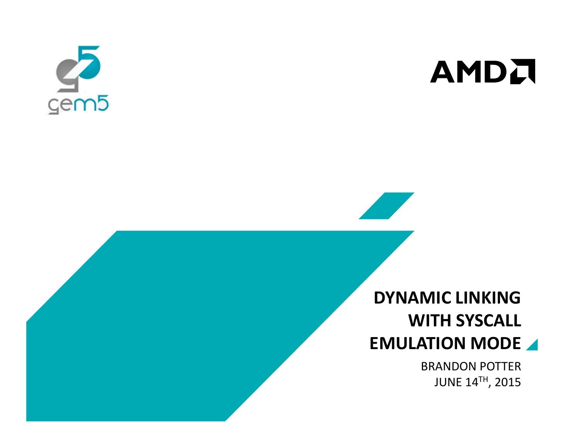



# DYNAMIC LINKING WITH SYSCALL EMULATION MODE

BRANDON POTTERJUNE 14TH, 2015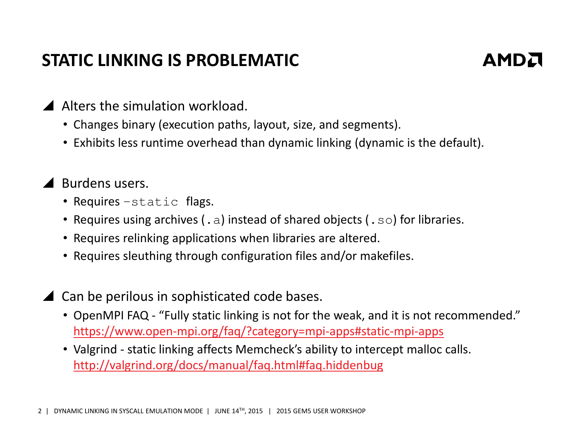### STATIC LINKING IS PROBLEMATIC



- Alters the simulation workload.
	- Changes binary (execution paths, layout, size, and segments).
	- Exhibits less runtime overhead than dynamic linking (dynamic is the default).
- ▲ Burdens users.
	- Requires –static flags.
	- Requires using archives ( . a) instead of shared objects ( .  $\texttt{s}\circ$ ) for libraries.
	- Requires relinking applications when libraries are altered.
	- Requires sleuthing through configuration files and/or makefiles.
- ▲ Can be perilous in sophisticated code bases.
	- OpenMPI FAQ "Fully static linking is not for the weak, and it is not recommended." https://www.open-mpi.org/faq/?category=mpi-apps#static-mpi-apps
	- Valgrind static linking affects Memcheck's ability to intercept malloc calls. http://valgrind.org/docs/manual/faq.html#faq.hiddenbug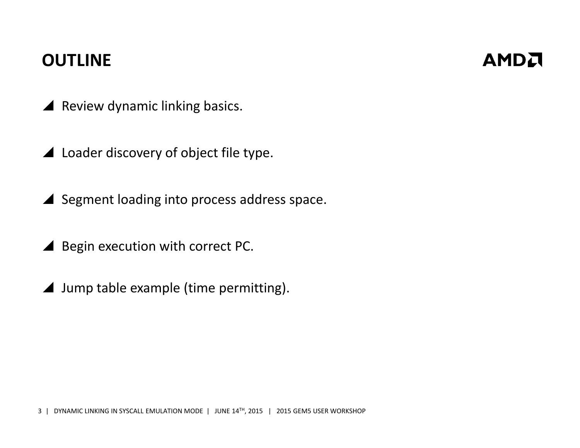#### **OUTLINE**

- $\blacktriangle$  Review dynamic linking basics.
- A Loader discovery of object file type.
- Segment loading into process address space.
- ▲ Begin execution with correct PC.
- ▲ Jump table example (time permitting).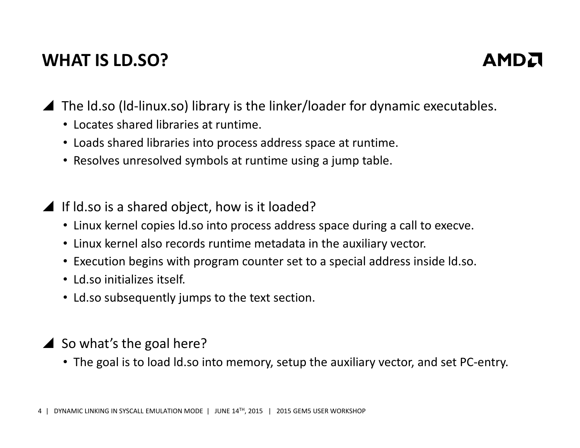### WHAT IS LD.SO?



▲ The Id.so (Id-linux.so) library is the linker/loader for dynamic executables.

- Locates shared libraries at runtime.
- Loads shared libraries into process address space at runtime.
- Resolves unresolved symbols at runtime using a jump table.

If ld.so is a shared object, how is it loaded?

- Linux kernel copies ld.so into process address space during a call to execve.
- Linux kernel also records runtime metadata in the auxiliary vector.
- Execution begins with program counter set to a special address inside ld.so.
- Ld.so initializes itself.
- Ld.so subsequently jumps to the text section.
- $\triangle$  So what's the goal here?
	- The goal is to load ld.so into memory, setup the auxiliary vector, and set PC-entry.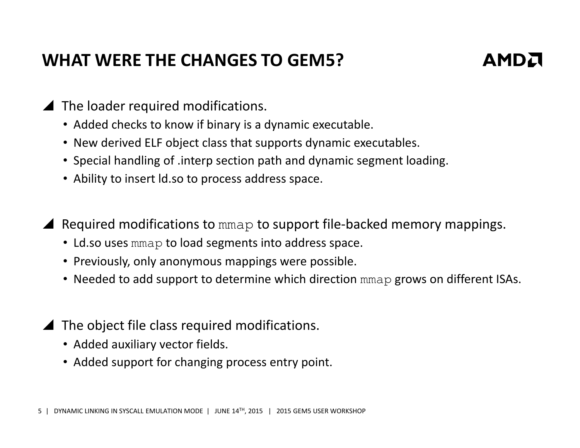### WHAT WERE THE CHANGES TO GEM5?



- The loader required modifications.
	- Added checks to know if binary is a dynamic executable.
	- New derived ELF object class that supports dynamic executables.
	- Special handling of .interp section path and dynamic segment loading.
	- Ability to insert ld.so to process address space.
- ▲ Required modifications to mmap to support file-backed memory mappings.
	- Ld.so uses  $\text{mmap}$  to load segments into address space.
	- Previously, only anonymous mappings were possible.
	- Needed to add support to determine which direction mmap grows on different ISAs.
- The object file class required modifications.
	- Added auxiliary vector fields.
	- Added support for changing process entry point.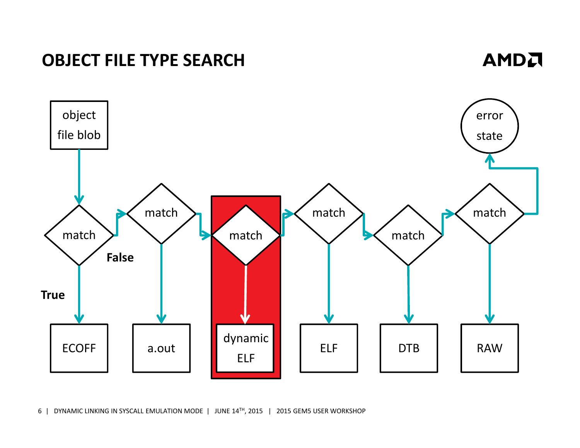

6 | DYNAMIC LINKING IN SYSCALL EMULATION MODE | JUNE 14TH, 2015 | 2015 GEM5 USER WORKSHOP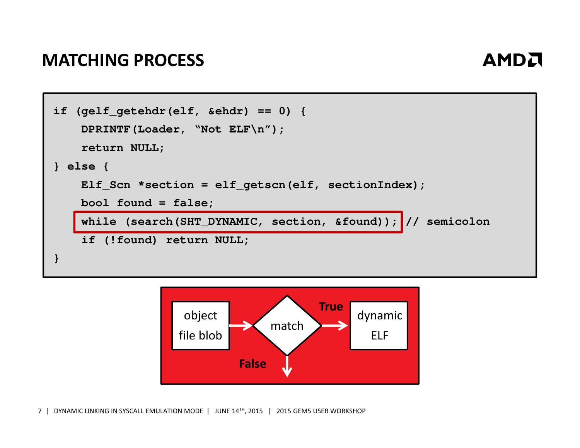#### MATCHING PROCESS



```
if (gelf getehdr(elf, &ehdr) == 0) {
   DPRINTF(Loader, "Not ELF\n");return NULL;} else {Elf_Scn *section = elf_getscn(elf, sectionIndex);
   bool found = false;
   while (search(SHT_DYNAMIC, section, &found)); // semicolon
    if (!found) return NULL;}
```
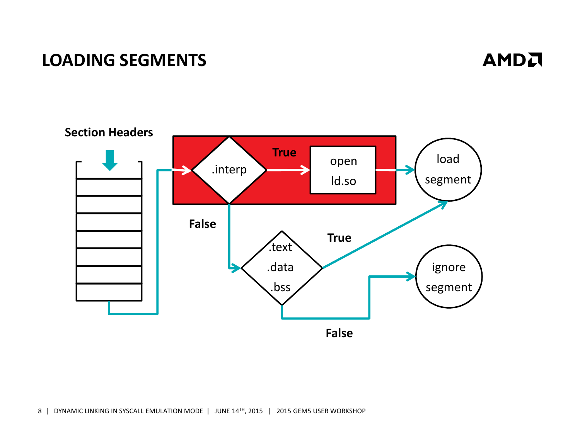#### LOADING SEGMENTS

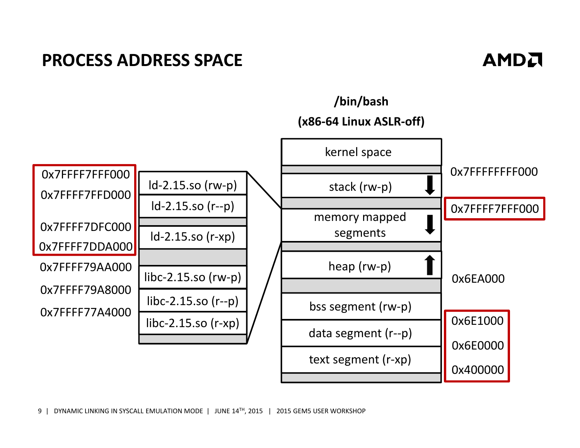#### PROCESS ADDRESS SPACE

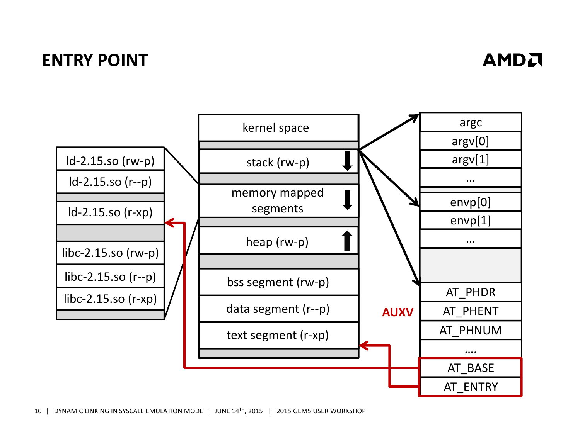#### ENTRY POINT



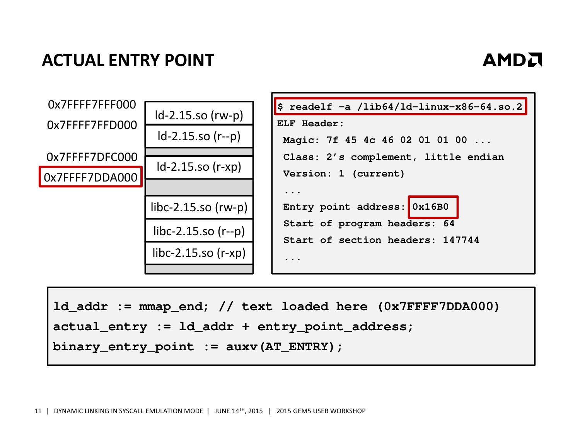### ACTUAL ENTRY POINT



```
ld_addr := mmap_end; // text loaded here (0x7FFFF7DDA000)
actual_entry := ld_addr + entry_point_address;
binary_entry_point := auxv(AT_ENTRY);
```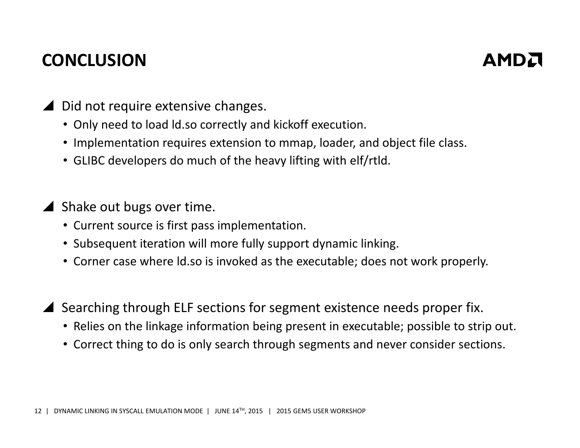### **CONCLUSION**



- ▲ Did not require extensive changes.
	- Only need to load ld.so correctly and kickoff execution.
	- Implementation requires extension to mmap, loader, and object file class.
	- GLIBC developers do much of the heavy lifting with elf/rtld.
- Shake out bugs over time.
	- Current source is first pass implementation.
	- Subsequent iteration will more fully support dynamic linking.
	- Corner case where ld.so is invoked as the executable; does not work properly.
- Searching through ELF sections for segment existence needs proper fix.
	- Relies on the linkage information being present in executable; possible to strip out.
	- Correct thing to do is only search through segments and never consider sections.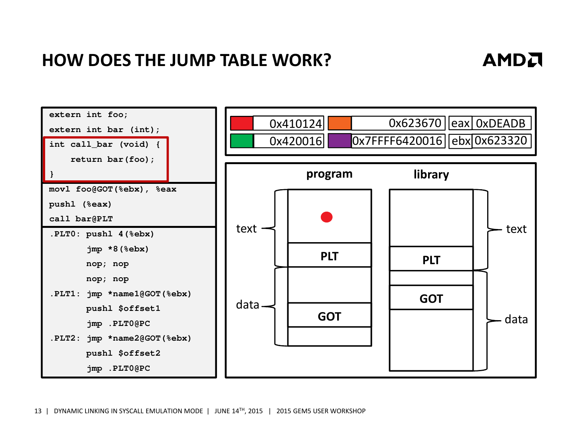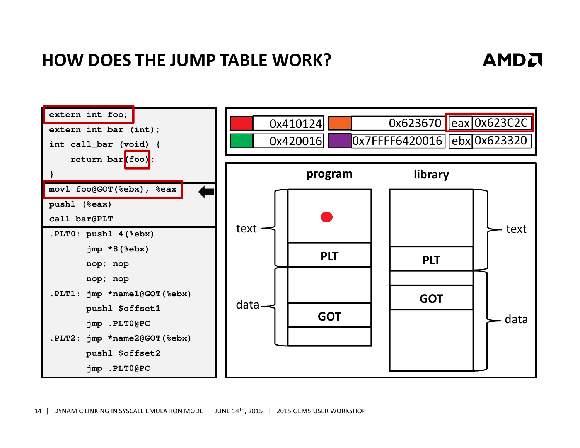### AMDA



14 | DYNAMIC LINKING IN SYSCALL EMULATION MODE | JUNE 14<sup>TH</sup>, 2015 | 2015 GEM5 USER WORKSHOP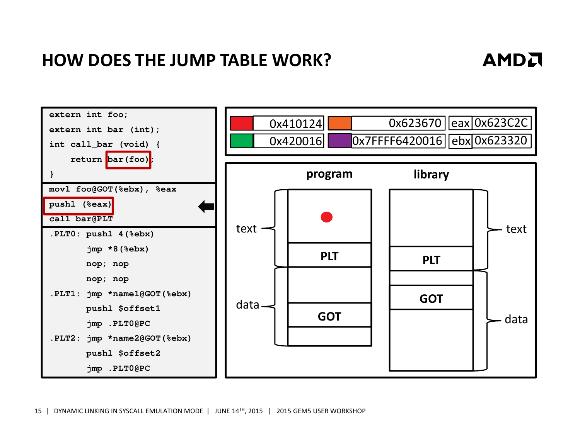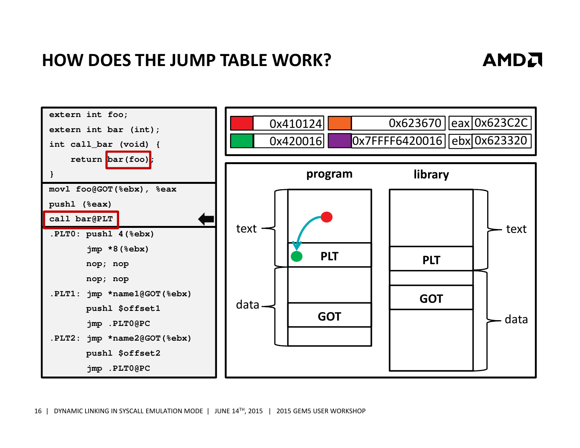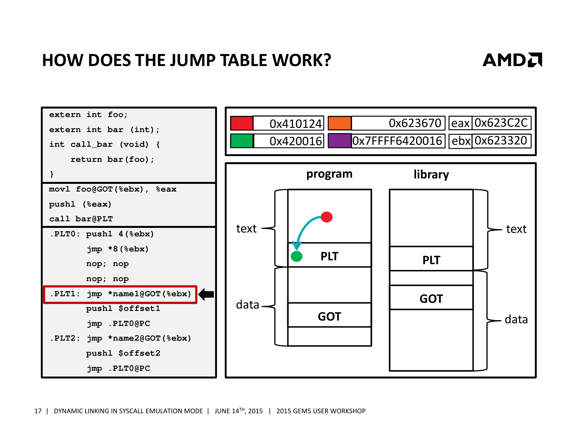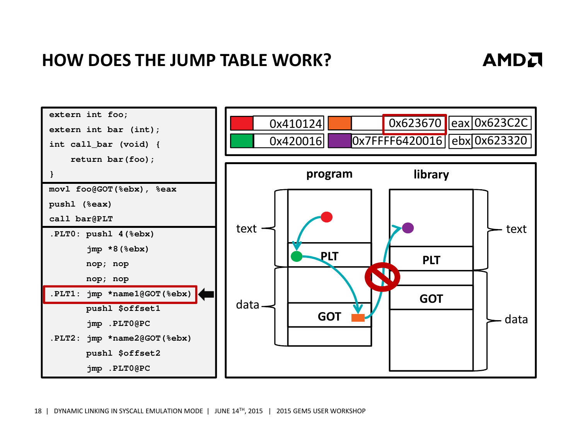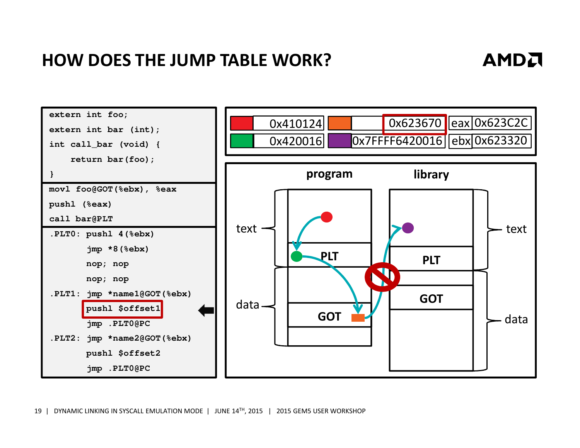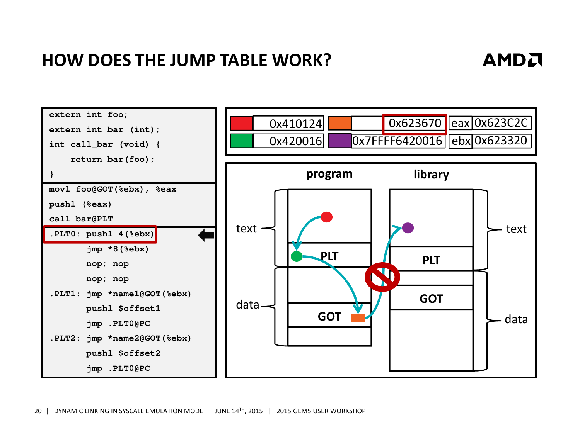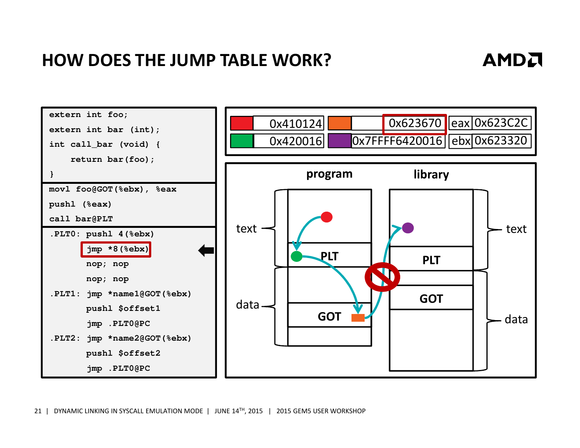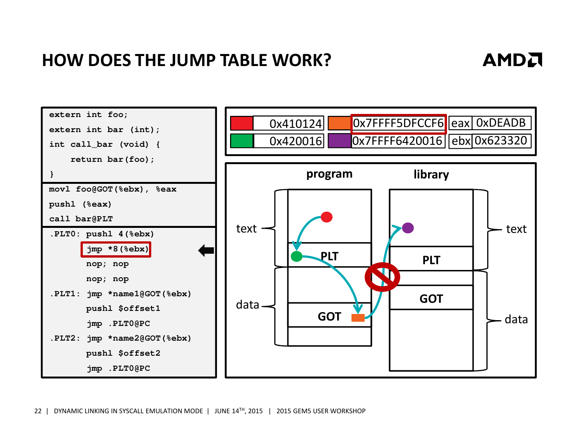